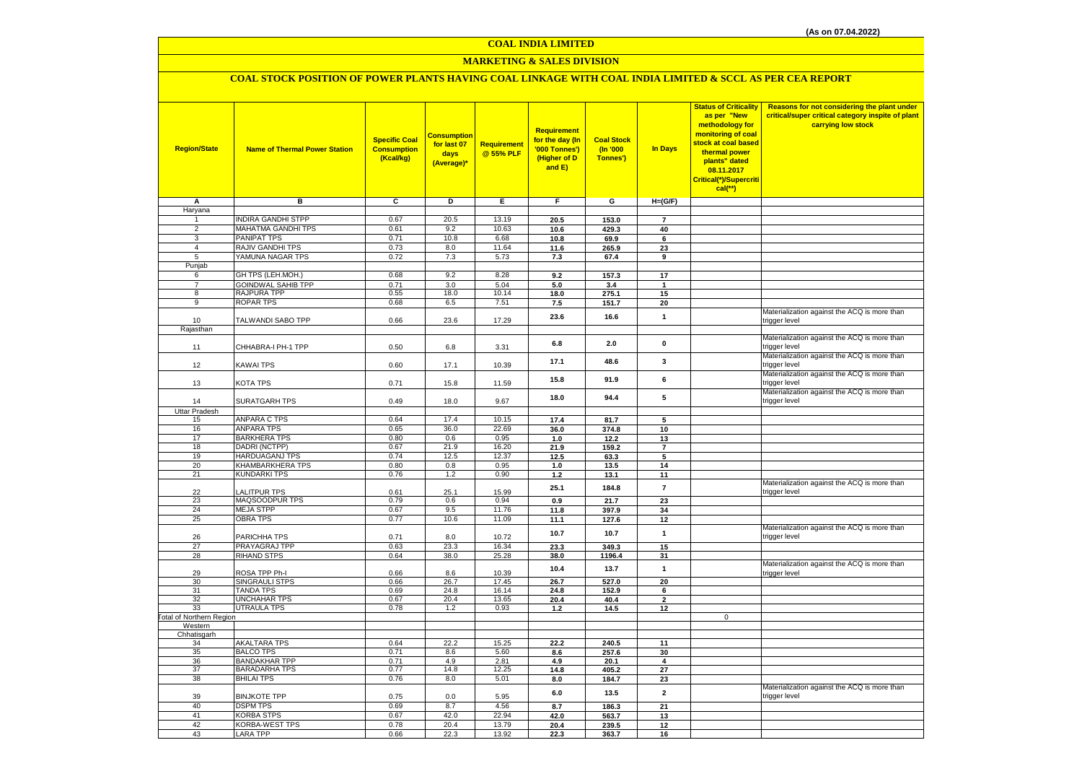# **MARKETING & SALES DIVISION**

# **COAL STOCK POSITION OF POWER PLANTS HAVING COAL LINKAGE WITH COAL INDIA LIMITED & SCCL AS PER CEA REPORT**

| <b>Region/State</b>                 | <b>Name of Thermal Power Station</b> | <b>Specific Coal</b><br><b>Consumption</b><br>(Kcal/kg) | <mark>Consumption</mark><br>for last 07<br>days<br>(Average)* | Requirement<br>@ 55% PLF | Requirement<br>for the day (In<br>'000 Tonnes')<br>(Higher of D<br>and E) | <b>Coal Stock</b><br>(n'000)<br>Tonnes') | In Days        | <b>Status of Criticality</b><br>as per "New<br>methodology for<br>monitoring of coal<br>stock at coal based<br>thermal power<br>plants" dated<br>08.11.2017<br>Critical(*)/Supercriti<br>$cal$ (**) | Reasons for not considering the plant under<br>critical/super critical category inspite of plant<br>carrying low stock |
|-------------------------------------|--------------------------------------|---------------------------------------------------------|---------------------------------------------------------------|--------------------------|---------------------------------------------------------------------------|------------------------------------------|----------------|-----------------------------------------------------------------------------------------------------------------------------------------------------------------------------------------------------|------------------------------------------------------------------------------------------------------------------------|
| Α                                   | в                                    | c                                                       | D                                                             | Е                        | F.                                                                        | G                                        | $H=(G/F)$      |                                                                                                                                                                                                     |                                                                                                                        |
| Haryana                             |                                      |                                                         |                                                               |                          |                                                                           |                                          |                |                                                                                                                                                                                                     |                                                                                                                        |
| 1                                   | <b>INDIRA GANDHI STPP</b>            | 0.67                                                    | 20.5                                                          | 13.19                    | 20.5                                                                      | 153.0                                    | $\overline{7}$ |                                                                                                                                                                                                     |                                                                                                                        |
| $\overline{2}$                      | MAHATMA GANDHI TPS                   | 0.61                                                    | 9.2                                                           | 10.63                    | 10.6                                                                      | 429.3                                    | 40             |                                                                                                                                                                                                     |                                                                                                                        |
| $\overline{3}$                      | PANIPAT TPS                          | 0.71                                                    | 10.8                                                          | 6.68                     | 10.8                                                                      | 69.9                                     | 6              |                                                                                                                                                                                                     |                                                                                                                        |
| $\overline{4}$                      | RAJIV GANDHI TPS                     | 0.73                                                    | 8.0                                                           | 11.64                    | 11.6                                                                      | 265.9                                    | 23             |                                                                                                                                                                                                     |                                                                                                                        |
| 5<br>Punjab                         | YAMUNA NAGAR TPS                     | 0.72                                                    | 7.3                                                           | 5.73                     | 7.3                                                                       | 67.4                                     | 9              |                                                                                                                                                                                                     |                                                                                                                        |
| 6                                   | GH TPS (LEH.MOH.)                    | 0.68                                                    | 9.2                                                           | 8.28                     | 9.2                                                                       | 157.3                                    | 17             |                                                                                                                                                                                                     |                                                                                                                        |
| $\overline{7}$                      | <b>GOINDWAL SAHIB TPP</b>            | 0.71                                                    | 3.0                                                           | 5.04                     | 5.0                                                                       | 3.4                                      | $\mathbf{1}$   |                                                                                                                                                                                                     |                                                                                                                        |
| 8                                   | RAJPURA TPP                          | 0.55                                                    | 18.0                                                          | 10.14                    | 18.0                                                                      | 275.1                                    | 15             |                                                                                                                                                                                                     |                                                                                                                        |
| $\overline{9}$                      | <b>ROPAR TPS</b>                     | 0.68                                                    | 6.5                                                           | 7.51                     | 7.5                                                                       | 151.7                                    | 20             |                                                                                                                                                                                                     |                                                                                                                        |
|                                     |                                      |                                                         |                                                               |                          | 23.6                                                                      | 16.6                                     | $\mathbf{1}$   |                                                                                                                                                                                                     | Materialization against the ACQ is more than                                                                           |
| 10                                  | TALWANDI SABO TPP                    | 0.66                                                    | 23.6                                                          | 17.29                    |                                                                           |                                          |                |                                                                                                                                                                                                     | trigger level                                                                                                          |
| Rajasthan                           |                                      |                                                         |                                                               |                          |                                                                           |                                          |                |                                                                                                                                                                                                     |                                                                                                                        |
|                                     |                                      |                                                         |                                                               |                          | 6.8                                                                       | 2.0                                      | $\mathbf 0$    |                                                                                                                                                                                                     | Materialization against the ACQ is more than                                                                           |
| 11                                  | CHHABRA-I PH-1 TPP                   | 0.50                                                    | 6.8                                                           | 3.31                     |                                                                           |                                          |                |                                                                                                                                                                                                     | trigger level<br>Materialization against the ACQ is more than                                                          |
| 12                                  | KAWAI TPS                            | 0.60                                                    | 17.1                                                          | 10.39                    | 17.1                                                                      | 48.6                                     | 3              |                                                                                                                                                                                                     | trigger level                                                                                                          |
|                                     |                                      |                                                         |                                                               |                          |                                                                           |                                          |                |                                                                                                                                                                                                     | Materialization against the ACQ is more than                                                                           |
| 13                                  | KOTA TPS                             | 0.71                                                    | 15.8                                                          | 11.59                    | 15.8                                                                      | 91.9                                     | 6              |                                                                                                                                                                                                     | trigger level                                                                                                          |
|                                     |                                      |                                                         |                                                               |                          |                                                                           |                                          |                |                                                                                                                                                                                                     | Materialization against the ACQ is more than                                                                           |
| 14                                  | SURATGARH TPS                        | 0.49                                                    | 18.0                                                          | 9.67                     | 18.0                                                                      | 94.4                                     | 5              |                                                                                                                                                                                                     | trigger level                                                                                                          |
| <b>Uttar Pradesh</b>                |                                      |                                                         |                                                               |                          |                                                                           |                                          |                |                                                                                                                                                                                                     |                                                                                                                        |
| 15                                  | <b>ANPARA C TPS</b>                  | 0.64                                                    | 17.4                                                          | 10.15                    | 17.4                                                                      | 81.7                                     | 5              |                                                                                                                                                                                                     |                                                                                                                        |
| 16                                  | <b>ANPARA TPS</b>                    | 0.65                                                    | 36.0                                                          | 22.69                    | 36.0                                                                      | 374.8                                    | 10             |                                                                                                                                                                                                     |                                                                                                                        |
| 17                                  | <b>BARKHERA TPS</b>                  | 0.80                                                    | 0.6                                                           | 0.95                     | 1.0                                                                       | 12.2                                     | 13             |                                                                                                                                                                                                     |                                                                                                                        |
| 18                                  | DADRI (NCTPP)<br>HARDUAGANJ TPS      | 0.67                                                    | 21.9                                                          | 16.20<br>12.37           | 21.9                                                                      | 159.2                                    | $\overline{7}$ |                                                                                                                                                                                                     |                                                                                                                        |
| 19<br>20                            | KHAMBARKHERA TPS                     | 0.74<br>0.80                                            | 12.5<br>0.8                                                   | 0.95                     | 12.5<br>1.0                                                               | 63.3<br>13.5                             | 5<br>14        |                                                                                                                                                                                                     |                                                                                                                        |
| 21                                  | <b>KUNDARKI TPS</b>                  | 0.76                                                    | 1.2                                                           | 0.90                     | $1.2$                                                                     | 13.1                                     | 11             |                                                                                                                                                                                                     |                                                                                                                        |
|                                     |                                      |                                                         |                                                               |                          |                                                                           |                                          |                |                                                                                                                                                                                                     | Materialization against the ACQ is more than                                                                           |
| 22                                  | <b>ALITPUR TPS</b>                   | 0.61                                                    | 25.1                                                          | 15.99                    | 25.1                                                                      | 184.8                                    | $\overline{7}$ |                                                                                                                                                                                                     | trigger level                                                                                                          |
| 23                                  | MAQSOODPUR TPS                       | 0.79                                                    | 0.6                                                           | 0.94                     | 0.9                                                                       | 21.7                                     | 23             |                                                                                                                                                                                                     |                                                                                                                        |
| 24                                  | <b>MEJA STPP</b>                     | 0.67                                                    | 9.5                                                           | 11.76                    | 11.8                                                                      | 397.9                                    | 34             |                                                                                                                                                                                                     |                                                                                                                        |
| 25                                  | <b>OBRA TPS</b>                      | 0.77                                                    | 10.6                                                          | 11.09                    | 11.1                                                                      | 127.6                                    | 12             |                                                                                                                                                                                                     |                                                                                                                        |
|                                     |                                      |                                                         |                                                               |                          | 10.7                                                                      | 10.7                                     | $\mathbf{1}$   |                                                                                                                                                                                                     | Materialization against the ACQ is more than                                                                           |
| 26                                  | PARICHHA TPS                         | 0.71                                                    | 8.0                                                           | 10.72                    |                                                                           |                                          |                |                                                                                                                                                                                                     | trigger level                                                                                                          |
| 27<br>28                            | PRAYAGRAJ TPP<br><b>RIHAND STPS</b>  | 0.63<br>0.64                                            | 23.3<br>38.0                                                  | 16.34<br>25.28           | 23.3<br>38.0                                                              | 349.3<br>1196.4                          | 15<br>31       |                                                                                                                                                                                                     |                                                                                                                        |
|                                     |                                      |                                                         |                                                               |                          |                                                                           |                                          |                |                                                                                                                                                                                                     | Materialization against the ACQ is more than                                                                           |
| 29                                  | ROSA TPP Ph-I                        | 0.66                                                    | 8.6                                                           | 10.39                    | 10.4                                                                      | 13.7                                     | $\mathbf{1}$   |                                                                                                                                                                                                     | trigger level                                                                                                          |
| 30                                  | SINGRAULI STPS                       | 0.66                                                    | 26.7                                                          | 17.45                    | 26.7                                                                      | 527.0                                    | 20             |                                                                                                                                                                                                     |                                                                                                                        |
| 31                                  | <b>TANDA TPS</b>                     | 0.69                                                    | 24.8                                                          | 16.14                    | 24.8                                                                      | 152.9                                    | 6              |                                                                                                                                                                                                     |                                                                                                                        |
| 32                                  | UNCHAHAR TPS                         | 0.67                                                    | 20.4                                                          | 13.65                    | 20.4                                                                      | 40.4                                     | $\mathbf{2}$   |                                                                                                                                                                                                     |                                                                                                                        |
| 33                                  | <b>UTRAULA TPS</b>                   | 0.78                                                    | 1.2                                                           | 0.93                     | $1.2$                                                                     | 14.5                                     | 12             |                                                                                                                                                                                                     |                                                                                                                        |
| Total of Northern Region<br>Western |                                      |                                                         |                                                               |                          |                                                                           |                                          |                | $\mathsf 0$                                                                                                                                                                                         |                                                                                                                        |
| Chhatisgarh                         |                                      |                                                         |                                                               |                          |                                                                           |                                          |                |                                                                                                                                                                                                     |                                                                                                                        |
| 34                                  | <b>AKALTARA TPS</b>                  | 0.64                                                    | 22.2                                                          | 15.25                    | 22.2                                                                      | 240.5                                    | 11             |                                                                                                                                                                                                     |                                                                                                                        |
| 35                                  | <b>BALCO TPS</b>                     | 0.71                                                    | 8.6                                                           | 5.60                     | 8.6                                                                       | 257.6                                    | 30             |                                                                                                                                                                                                     |                                                                                                                        |
| 36                                  | <b>BANDAKHAR TPP</b>                 | 0.71                                                    | 4.9                                                           | 2.81                     | 4.9                                                                       | 20.1                                     | 4              |                                                                                                                                                                                                     |                                                                                                                        |
| 37                                  | <b>BARADARHA TPS</b>                 | 0.77                                                    | 14.8                                                          | 12.25                    | 14.8                                                                      | 405.2                                    | 27             |                                                                                                                                                                                                     |                                                                                                                        |
| 38                                  | <b>BHILAI TPS</b>                    | 0.76                                                    | 8.0                                                           | 5.01                     | 8.0                                                                       | 184.7                                    | 23             |                                                                                                                                                                                                     |                                                                                                                        |
| 39                                  | <b>BINJKOTE TPP</b>                  | 0.75                                                    | 0.0                                                           | 5.95                     | 6.0                                                                       | 13.5                                     | $\mathbf{2}$   |                                                                                                                                                                                                     | Materialization against the ACQ is more than<br>trigger level                                                          |
| 40                                  | <b>DSPM TPS</b>                      | 0.69                                                    | 8.7                                                           | 4.56                     | 8.7                                                                       | 186.3                                    | ${\bf 21}$     |                                                                                                                                                                                                     |                                                                                                                        |
| 41                                  | <b>KORBA STPS</b>                    | 0.67                                                    | 42.0                                                          | 22.94                    | 42.0                                                                      | 563.7                                    | 13             |                                                                                                                                                                                                     |                                                                                                                        |
| 42                                  | KORBA-WEST TPS                       | 0.78                                                    | 20.4                                                          | 13.79                    | 20.4                                                                      | 239.5                                    | 12             |                                                                                                                                                                                                     |                                                                                                                        |
| 43                                  | LARA TPP                             | 0.66                                                    | 22.3                                                          | 13.92                    | 22.3                                                                      | 363.7                                    | 16             |                                                                                                                                                                                                     |                                                                                                                        |
|                                     |                                      |                                                         |                                                               |                          |                                                                           |                                          |                |                                                                                                                                                                                                     |                                                                                                                        |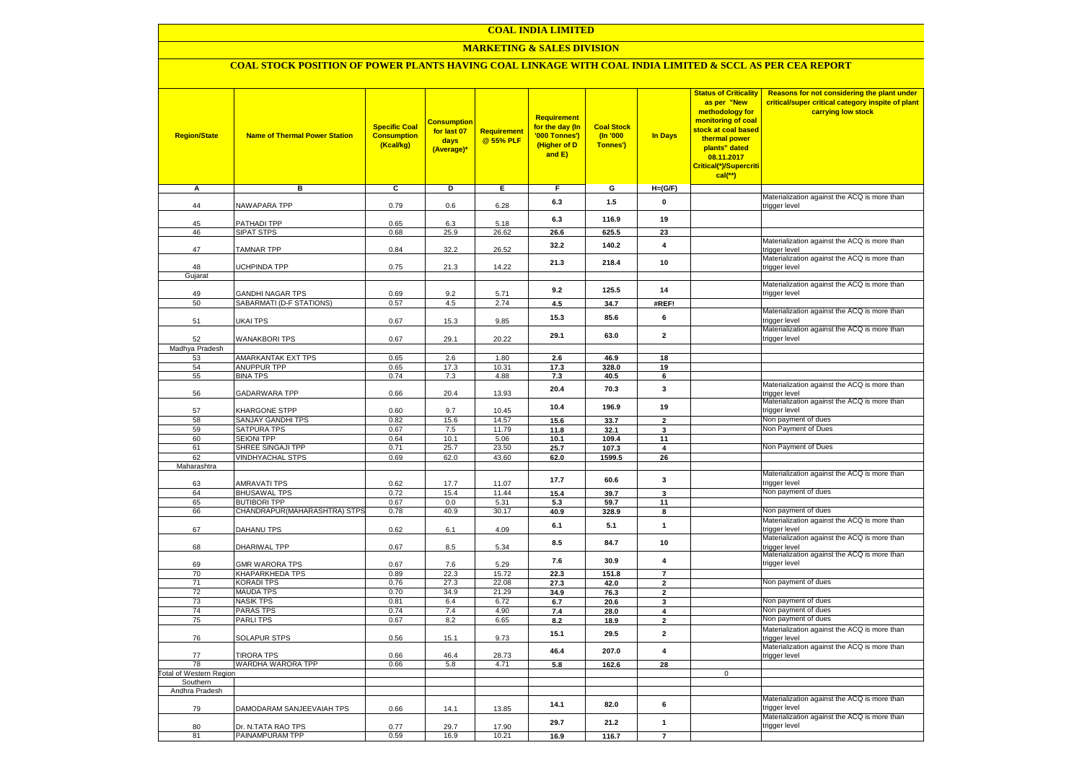## **MARKETING & SALES DIVISION**

## **COAL STOCK POSITION OF POWER PLANTS HAVING COAL LINKAGE WITH COAL INDIA LIMITED & SCCL AS PER CEA REPORT**

| <b>Region/State</b>    | <b>Name of Thermal Power Station</b>       | <b>Specific Coal</b><br><b>Consumption</b><br>(Kcal/kg) | <mark>Consumption</mark><br>for last 07<br>days<br>(Average)* | <b>Requirement</b><br>@ 55% PLF | <b>Requirement</b><br>for the day (In<br>'000 Tonnes')<br>(Higher of D<br>and E) | <b>Coal Stock</b><br>(In '000<br>Tonnes') | <b>In Days</b>                | <b>Status of Criticality</b><br>as per "New<br>methodology for<br>monitoring of coal<br>stock at coal based<br>thermal power<br>plants" dated<br>08.11.2017<br>Critical(*)/Supercriti<br>$cal$ (**) | Reasons for not considering the plant under<br>critical/super critical category inspite of plant<br>carrying low stock |
|------------------------|--------------------------------------------|---------------------------------------------------------|---------------------------------------------------------------|---------------------------------|----------------------------------------------------------------------------------|-------------------------------------------|-------------------------------|-----------------------------------------------------------------------------------------------------------------------------------------------------------------------------------------------------|------------------------------------------------------------------------------------------------------------------------|
| А                      | в                                          | c                                                       | Þ                                                             | Е                               | F                                                                                | G                                         | $H=(G/F)$                     |                                                                                                                                                                                                     |                                                                                                                        |
|                        |                                            |                                                         |                                                               |                                 | 6.3                                                                              | 1.5                                       | 0                             |                                                                                                                                                                                                     | Materialization against the ACQ is more than                                                                           |
| 44                     | <b>NAWAPARA TPP</b>                        | 0.79                                                    | 0.6                                                           | 6.28                            |                                                                                  |                                           |                               |                                                                                                                                                                                                     | trigger level                                                                                                          |
| 45                     | <b>PATHADI TPP</b>                         | 0.65                                                    | 6.3                                                           | 5.18                            | 6.3                                                                              | 116.9                                     | 19                            |                                                                                                                                                                                                     |                                                                                                                        |
| 46                     | SIPAT STPS                                 | 0.68                                                    | 25.9                                                          | 26.62                           | 26.6                                                                             | 625.5                                     | 23                            |                                                                                                                                                                                                     |                                                                                                                        |
| 47                     | <b>TAMNAR TPP</b>                          | 0.84                                                    | 32.2                                                          | 26.52                           | 32.2                                                                             | 140.2                                     | 4                             |                                                                                                                                                                                                     | Materialization against the ACQ is more than<br>trigger level                                                          |
|                        |                                            |                                                         |                                                               |                                 | 21.3                                                                             | 218.4                                     | 10                            |                                                                                                                                                                                                     | Materialization against the ACQ is more than                                                                           |
| 48<br>Gujarat          | <b>JCHPINDA TPP</b>                        | 0.75                                                    | 21.3                                                          | 14.22                           |                                                                                  |                                           |                               |                                                                                                                                                                                                     | trigger level                                                                                                          |
|                        |                                            |                                                         |                                                               |                                 |                                                                                  |                                           |                               |                                                                                                                                                                                                     | Materialization against the ACQ is more than                                                                           |
| 49                     | <b>GANDHI NAGAR TPS</b>                    | 0.69                                                    | 9.2                                                           | 5.71                            | 9.2                                                                              | 125.5                                     | 14                            |                                                                                                                                                                                                     | trigger level                                                                                                          |
| 50                     | SABARMATI (D-F STATIONS)                   | 0.57                                                    | 4.5                                                           | 2.74                            | 4.5                                                                              | 34.7                                      | #REF!                         |                                                                                                                                                                                                     |                                                                                                                        |
| 51                     | UKAI TPS                                   | 0.67                                                    | 15.3                                                          | 9.85                            | 15.3                                                                             | 85.6                                      | 6                             |                                                                                                                                                                                                     | Materialization against the ACQ is more than<br>trigger level                                                          |
| 52                     | <b>WANAKBORI TPS</b>                       | 0.67                                                    | 29.1                                                          | 20.22                           | 29.1                                                                             | 63.0                                      | $\overline{\mathbf{2}}$       |                                                                                                                                                                                                     | Materialization against the ACQ is more than<br>trigger level                                                          |
| Madhya Pradesh         |                                            |                                                         |                                                               |                                 |                                                                                  |                                           |                               |                                                                                                                                                                                                     |                                                                                                                        |
| 53                     | AMARKANTAK EXT TPS                         | 0.65                                                    | 2.6                                                           | 1.80                            | 2.6                                                                              | 46.9                                      | 18                            |                                                                                                                                                                                                     |                                                                                                                        |
| 54                     | <b>ANUPPUR TPP</b>                         | 0.65                                                    | 17.3                                                          | 10.31                           | 17.3                                                                             | 328.0                                     | 19                            |                                                                                                                                                                                                     |                                                                                                                        |
| 55                     | <b>BINA TPS</b>                            | 0.74                                                    | 7.3                                                           | 4.88                            | 7.3                                                                              | 40.5                                      | 6                             |                                                                                                                                                                                                     | Materialization against the ACQ is more than                                                                           |
| 56                     | GADARWARA TPP                              | 0.66                                                    | 20.4                                                          | 13.93                           | 20.4                                                                             | 70.3                                      | 3                             |                                                                                                                                                                                                     | trigger level<br>Materialization against the ACQ is more than                                                          |
| 57                     | KHARGONE STPP                              | 0.60                                                    | 9.7                                                           | 10.45                           | 10.4                                                                             | 196.9                                     | 19                            |                                                                                                                                                                                                     | trigger level                                                                                                          |
| 58                     | SANJAY GANDHI TPS                          | 0.82                                                    | 15.6                                                          | 14.57                           | 15.6                                                                             | 33.7                                      | $\mathbf{2}$                  |                                                                                                                                                                                                     | Non payment of dues                                                                                                    |
| 59<br>60               | SATPURA TPS<br><b>SEIONI TPP</b>           | 0.67<br>0.64                                            | 7.5<br>10.1                                                   | 11.79<br>5.06                   | 11.8                                                                             | 32.1                                      | 3                             |                                                                                                                                                                                                     | Non Payment of Dues                                                                                                    |
| 61                     | SHREE SINGAJI TPP                          | 0.71                                                    | 25.7                                                          | 23.50                           | 10.1<br>25.7                                                                     | 109.4<br>107.3                            | 11<br>$\overline{\mathbf{4}}$ |                                                                                                                                                                                                     | Non Payment of Dues                                                                                                    |
| 62                     | <b>VINDHYACHAL STPS</b>                    | 0.69                                                    | 62.0                                                          | 43.60                           | 62.0                                                                             | 1599.5                                    | 26                            |                                                                                                                                                                                                     |                                                                                                                        |
| Maharashtra            |                                            |                                                         |                                                               |                                 |                                                                                  |                                           |                               |                                                                                                                                                                                                     |                                                                                                                        |
|                        |                                            |                                                         |                                                               |                                 | 17.7                                                                             | 60.6                                      | 3                             |                                                                                                                                                                                                     | Materialization against the ACQ is more than                                                                           |
| 63                     | AMRAVATI TPS                               | 0.62                                                    | 17.7                                                          | 11.07                           |                                                                                  |                                           |                               |                                                                                                                                                                                                     | trigger level                                                                                                          |
| 64<br>65               | <b>BHUSAWAL TPS</b><br><b>BUTIBORI TPP</b> | 0.72<br>0.67                                            | 15.4<br>0.0                                                   | 11.44<br>5.31                   | 15.4                                                                             | 39.7                                      | 3                             |                                                                                                                                                                                                     | Non payment of dues                                                                                                    |
| 66                     | CHANDRAPUR(MAHARASHTRA) STPS               | 0.78                                                    | 40.9                                                          | 30.17                           | 5.3<br>40.9                                                                      | 59.7<br>328.9                             | 11<br>8                       |                                                                                                                                                                                                     | Non payment of dues                                                                                                    |
|                        |                                            |                                                         |                                                               |                                 |                                                                                  |                                           |                               |                                                                                                                                                                                                     | Materialization against the ACQ is more than                                                                           |
| 67                     | DAHANU TPS                                 | 0.62                                                    | 6.1                                                           | 4.09                            | 6.1                                                                              | 5.1                                       | $\mathbf{1}$                  |                                                                                                                                                                                                     | trigger level                                                                                                          |
| 68                     | DHARIWAL TPP                               | 0.67                                                    | 8.5                                                           | 5.34                            | 8.5                                                                              | 84.7                                      | 10                            |                                                                                                                                                                                                     | Materialization against the ACQ is more than<br>trigger level                                                          |
| 69                     | <b>GMR WARORA TPS</b>                      | 0.67                                                    | 7.6                                                           | 5.29                            | 7.6                                                                              | 30.9                                      | $\overline{\mathbf{4}}$       |                                                                                                                                                                                                     | Materialization against the ACQ is more than<br>trigger level                                                          |
| 70                     | KHAPARKHEDA TPS                            | 0.89                                                    | 22.3                                                          | 15.72                           | 22.3                                                                             | 151.8                                     | $\overline{7}$                |                                                                                                                                                                                                     |                                                                                                                        |
| 71<br>72               | KORADI TPS<br><b>MAUDA TPS</b>             | 0.76<br>0.70                                            | 27.3<br>34.9                                                  | 22.08<br>21.29                  | 27.3                                                                             | 42.0                                      | $\mathbf{2}$                  |                                                                                                                                                                                                     | Non payment of dues                                                                                                    |
| 73                     | <b>NASIK TPS</b>                           | 0.81                                                    | 6.4                                                           | 6.72                            | 34.9<br>6.7                                                                      | 76.3<br>20.6                              | $\overline{2}$                |                                                                                                                                                                                                     | Non payment of dues                                                                                                    |
| 74                     | <b>PARAS TPS</b>                           | 0.74                                                    | 7.4                                                           | 4.90                            | 7.4                                                                              | 28.0                                      | 3<br>4                        |                                                                                                                                                                                                     | Non payment of dues                                                                                                    |
| 75                     | <b>PARLITPS</b>                            | 0.67                                                    | 8.2                                                           | 6.65                            | 8.2                                                                              | 18.9                                      | $\overline{2}$                |                                                                                                                                                                                                     | Non payment of dues                                                                                                    |
| 76                     | <b>SOLAPUR STPS</b>                        | 0.56                                                    | 15.1                                                          | 9.73                            | 15.1                                                                             | 29.5                                      | $\overline{2}$                |                                                                                                                                                                                                     | Materialization against the ACQ is more than<br>trigger level                                                          |
| 77                     | <b>TIRORA TPS</b>                          | 0.66                                                    | 46.4                                                          | 28.73                           | 46.4                                                                             | 207.0                                     | $\overline{\mathbf{4}}$       |                                                                                                                                                                                                     | Materialization against the ACQ is more than<br>trigger level                                                          |
| 78                     | WARDHA WARORA TPP                          | 0.66                                                    | 5.8                                                           | 4.71                            | 5.8                                                                              | 162.6                                     | 28                            |                                                                                                                                                                                                     |                                                                                                                        |
| otal of Western Region |                                            |                                                         |                                                               |                                 |                                                                                  |                                           |                               | $\mathbf 0$                                                                                                                                                                                         |                                                                                                                        |
| Southern               |                                            |                                                         |                                                               |                                 |                                                                                  |                                           |                               |                                                                                                                                                                                                     |                                                                                                                        |
| Andhra Pradesh         |                                            |                                                         |                                                               |                                 |                                                                                  |                                           |                               |                                                                                                                                                                                                     | Materialization against the ACQ is more than                                                                           |
| 79                     | DAMODARAM SANJEEVAIAH TPS                  | 0.66                                                    | 14.1                                                          | 13.85                           | 14.1                                                                             | 82.0                                      | 6                             |                                                                                                                                                                                                     | trigger level                                                                                                          |
| 80                     | Dr. N.TATA RAO TPS                         | 0.77                                                    | 29.7                                                          | 17.90                           | 29.7                                                                             | 21.2                                      | $\mathbf{1}$                  |                                                                                                                                                                                                     | Materialization against the ACQ is more than<br>trigger level                                                          |
| 81                     | PAINAMPURAM TPP                            | 0.59                                                    | 16.9                                                          | 10.21                           | 16.9                                                                             | 116.7                                     | $\overline{7}$                |                                                                                                                                                                                                     |                                                                                                                        |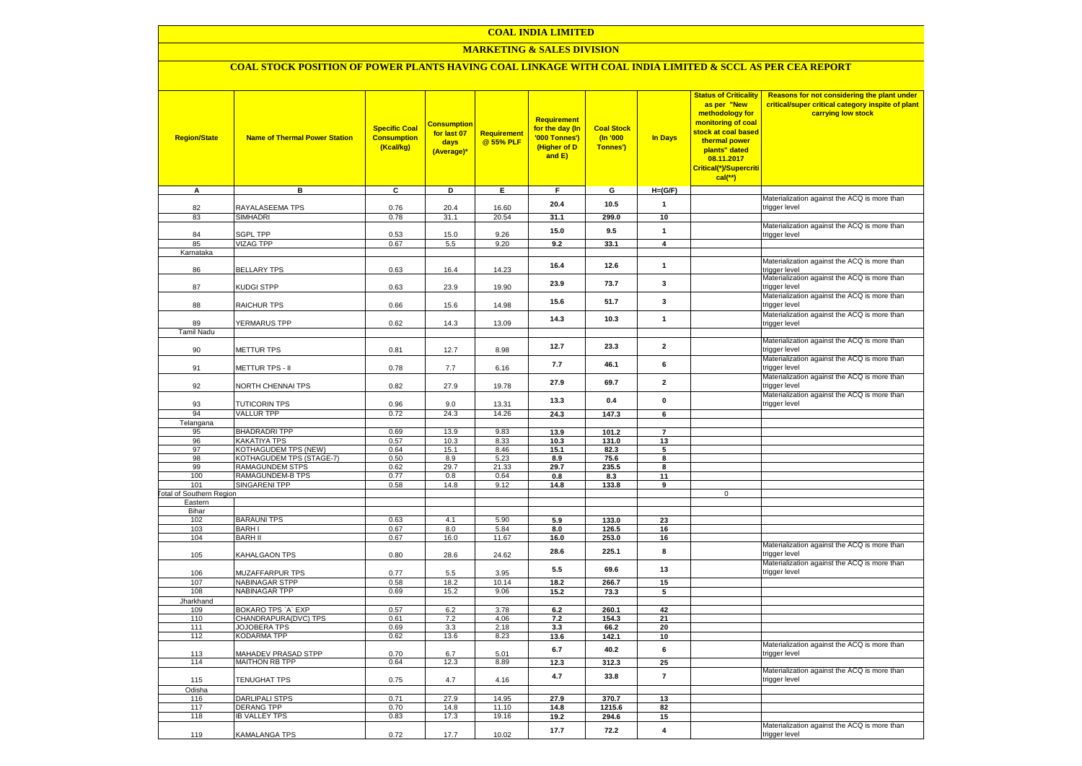### **MARKETING & SALES DIVISION**

# **COAL STOCK POSITION OF POWER PLANTS HAVING COAL LINKAGE WITH COAL INDIA LIMITED & SCCL AS PER CEA REPORT**

| <b>Region/State</b>             | <b>Name of Thermal Power Station</b>               | <b>Specific Coal</b><br><b>Consumption</b><br>(Kcal/kg) | <mark>Consumption</mark><br>for last 07<br>days<br>(Average)* | <b>Requirement</b><br>@ 55% PLF | Requirement<br>for the day (In<br>'000 Tonnes')<br>(Higher of D<br>and E) | <b>Coal Stock</b><br>(In '000<br>Tonnes') | <b>In Days</b>          | <b>Status of Criticality</b><br>as per "New<br>methodology for<br>monitoring of coal<br>stock at coal based<br>thermal power<br>plants" dated<br>08.11.2017<br>Critical(*)/Supercriti<br>$cal$ (**) | Reasons for not considering the plant under<br>critical/super critical category inspite of plant<br>carrying low stock |
|---------------------------------|----------------------------------------------------|---------------------------------------------------------|---------------------------------------------------------------|---------------------------------|---------------------------------------------------------------------------|-------------------------------------------|-------------------------|-----------------------------------------------------------------------------------------------------------------------------------------------------------------------------------------------------|------------------------------------------------------------------------------------------------------------------------|
| A                               | в                                                  | С                                                       | D                                                             | Е                               | F                                                                         | G                                         | $H=(G/F)$               |                                                                                                                                                                                                     |                                                                                                                        |
| 82                              | RAYALASEEMA TPS                                    | 0.76                                                    | 20.4                                                          | 16.60                           | 20.4                                                                      | 10.5                                      | $\mathbf{1}$            |                                                                                                                                                                                                     | Materialization against the ACQ is more than<br>trigger level                                                          |
| 83                              | SIMHADRI                                           | 0.78                                                    | 31.1                                                          | 20.54                           | 31.1                                                                      | 299.0                                     | 10                      |                                                                                                                                                                                                     |                                                                                                                        |
|                                 |                                                    |                                                         |                                                               |                                 |                                                                           |                                           |                         |                                                                                                                                                                                                     | Materialization against the ACQ is more than                                                                           |
| 84                              | <b>SGPL TPP</b>                                    | 0.53                                                    | 15.0                                                          | 9.26                            | 15.0                                                                      | 9.5                                       | $\mathbf{1}$            |                                                                                                                                                                                                     | trigger level                                                                                                          |
| 85                              | <b>VIZAG TPP</b>                                   | 0.67                                                    | 5.5                                                           | 9.20                            | 9.2                                                                       | 33.1                                      | $\overline{\mathbf{4}}$ |                                                                                                                                                                                                     |                                                                                                                        |
| Karnataka                       |                                                    |                                                         |                                                               |                                 |                                                                           |                                           |                         |                                                                                                                                                                                                     |                                                                                                                        |
| 86                              | <b>BELLARY TPS</b>                                 | 0.63                                                    | 16.4                                                          | 14.23                           | 16.4                                                                      | 12.6                                      | $\mathbf{1}$            |                                                                                                                                                                                                     | Materialization against the ACQ is more than<br>trigger level                                                          |
| 87                              | KUDGI STPP                                         | 0.63                                                    | 23.9                                                          | 19.90                           | 23.9                                                                      | 73.7                                      | 3                       |                                                                                                                                                                                                     | Materialization against the ACQ is more than<br>trigger level                                                          |
| 88                              | RAICHUR TPS                                        | 0.66                                                    | 15.6                                                          | 14.98                           | 15.6                                                                      | 51.7                                      | 3                       |                                                                                                                                                                                                     | Materialization against the ACQ is more than<br>trigger level                                                          |
|                                 |                                                    |                                                         |                                                               |                                 | 14.3                                                                      | 10.3                                      | $\mathbf{1}$            |                                                                                                                                                                                                     | Materialization against the ACQ is more than                                                                           |
| 89                              | <b>YERMARUS TPP</b>                                | 0.62                                                    | 14.3                                                          | 13.09                           |                                                                           |                                           |                         |                                                                                                                                                                                                     | trigger level                                                                                                          |
| <b>Tamil Nadu</b>               |                                                    |                                                         |                                                               |                                 |                                                                           |                                           |                         |                                                                                                                                                                                                     | Materialization against the ACQ is more than                                                                           |
| 90                              | <b>METTUR TPS</b>                                  | 0.81                                                    | 12.7                                                          | 8.98                            | 12.7                                                                      | 23.3                                      | $\mathbf{2}$            |                                                                                                                                                                                                     | trigger level                                                                                                          |
| 91                              | METTUR TPS - II                                    | 0.78                                                    | 7.7                                                           | 6.16                            | 7.7                                                                       | 46.1                                      | 6                       |                                                                                                                                                                                                     | Materialization against the ACQ is more than<br>trigger level                                                          |
| 92                              | <b>VORTH CHENNAI TPS</b>                           | 0.82                                                    | 27.9                                                          | 19.78                           | 27.9                                                                      | 69.7                                      | $\mathbf{2}$            |                                                                                                                                                                                                     | Materialization against the ACQ is more than<br>trigger level                                                          |
| 93                              | <b>TUTICORIN TPS</b>                               | 0.96                                                    | 9.0                                                           | 13.31                           | 13.3                                                                      | 0.4                                       | 0                       |                                                                                                                                                                                                     | Materialization against the ACQ is more than<br>trigger level                                                          |
| 94                              | <b>VALLUR TPP</b>                                  | 0.72                                                    | 24.3                                                          | 14.26                           | 24.3                                                                      | 147.3                                     | 6                       |                                                                                                                                                                                                     |                                                                                                                        |
| Telangana                       |                                                    |                                                         |                                                               |                                 |                                                                           |                                           |                         |                                                                                                                                                                                                     |                                                                                                                        |
| 95                              | <b>BHADRADRI TPP</b>                               | 0.69                                                    | 13.9                                                          | 9.83                            | 13.9                                                                      | 101.2                                     | $\overline{7}$          |                                                                                                                                                                                                     |                                                                                                                        |
| 96                              | KAKATIYA TPS                                       | 0.57                                                    | 10.3                                                          | 8.33                            | 10.3                                                                      | 131.0                                     | 13                      |                                                                                                                                                                                                     |                                                                                                                        |
| 97                              | KOTHAGUDEM TPS (NEW)                               | 0.64                                                    | 15.1                                                          | 8.46                            | 15.1                                                                      | 82.3                                      | 5                       |                                                                                                                                                                                                     |                                                                                                                        |
| 98<br>99                        | KOTHAGUDEM TPS (STAGE-7)<br><b>RAMAGUNDEM STPS</b> | 0.50<br>0.62                                            | 8.9<br>29.7                                                   | 5.23<br>21.33                   | 8.9<br>29.7                                                               | 75.6<br>235.5                             | 8<br>8                  |                                                                                                                                                                                                     |                                                                                                                        |
| 100                             | RAMAGUNDEM-B TPS                                   | 0.77                                                    | 0.8                                                           | 0.64                            | 0.8                                                                       | 8.3                                       | 11                      |                                                                                                                                                                                                     |                                                                                                                        |
| 101                             | <b>SINGARENI TPP</b>                               | 0.58                                                    | 14.8                                                          | 9.12                            | 14.8                                                                      | 133.8                                     | 9                       |                                                                                                                                                                                                     |                                                                                                                        |
| <b>Fotal of Southern Region</b> |                                                    |                                                         |                                                               |                                 |                                                                           |                                           |                         | $\mathbf 0$                                                                                                                                                                                         |                                                                                                                        |
| Eastern                         |                                                    |                                                         |                                                               |                                 |                                                                           |                                           |                         |                                                                                                                                                                                                     |                                                                                                                        |
| Bihar<br>102                    | <b>BARAUNI TPS</b>                                 | 0.63                                                    | 4.1                                                           | 5.90                            | 5.9                                                                       | 133.0                                     | 23                      |                                                                                                                                                                                                     |                                                                                                                        |
| 103                             | <b>BARHI</b>                                       | 0.67                                                    | 8.0                                                           | 5.84                            | 8.0                                                                       | 126.5                                     | 16                      |                                                                                                                                                                                                     |                                                                                                                        |
| 104                             | <b>BARH II</b>                                     | 0.67                                                    | 16.0                                                          | 11.67                           | 16.0                                                                      | 253.0                                     | 16                      |                                                                                                                                                                                                     |                                                                                                                        |
| 105                             | <b>KAHALGAON TPS</b>                               | 0.80                                                    | 28.6                                                          | 24.62                           | 28.6                                                                      | 225.1                                     | 8                       |                                                                                                                                                                                                     | Materialization against the ACQ is more than<br>trigger level                                                          |
| 106                             | MUZAFFARPUR TPS                                    | 0.77                                                    | 5.5                                                           | 3.95                            | 5.5                                                                       | 69.6                                      | 13                      |                                                                                                                                                                                                     | Materialization against the ACQ is more than<br>trigger level                                                          |
| 107                             | <b>NABINAGAR STPP</b>                              | 0.58                                                    | 18.2                                                          | 10.14                           | 18.2                                                                      | 266.7                                     | 15                      |                                                                                                                                                                                                     |                                                                                                                        |
| 108                             | <b>NABINAGAR TPP</b>                               | 0.69                                                    | 15.2                                                          | 9.06                            | 15.2                                                                      | 73.3                                      | 5                       |                                                                                                                                                                                                     |                                                                                                                        |
| Jharkhand                       |                                                    |                                                         |                                                               |                                 |                                                                           |                                           |                         |                                                                                                                                                                                                     |                                                                                                                        |
| 109<br>110                      | BOKARO TPS `A` EXP<br>CHANDRAPURA(DVC) TPS         | 0.57<br>0.61                                            | 6.2<br>7.2                                                    | 3.78<br>4.06                    | 6.2                                                                       | 260.1                                     | 42                      |                                                                                                                                                                                                     |                                                                                                                        |
| 111                             | JOJOBERA TPS                                       | 0.69                                                    | 3.3                                                           | 2.18                            | 7.2<br>3.3                                                                | 154.3<br>66.2                             | 21<br>20                |                                                                                                                                                                                                     |                                                                                                                        |
| 112                             | KODARMA TPP                                        | 0.62                                                    | 13.6                                                          | 8.23                            | 13.6                                                                      | 142.1                                     | 10                      |                                                                                                                                                                                                     |                                                                                                                        |
| 113                             | <b>MAHADEV PRASAD STPP</b>                         | 0.70                                                    | 6.7                                                           | 5.01                            | 6.7                                                                       | 40.2                                      | 6                       |                                                                                                                                                                                                     | Materialization against the ACQ is more than<br>trigger level                                                          |
| 114                             | <b>MAITHON RB TPP</b>                              | 0.64                                                    | 12.3                                                          | 8.89                            | 12.3                                                                      | 312.3                                     | 25                      |                                                                                                                                                                                                     |                                                                                                                        |
| 115                             | TENUGHAT TPS                                       | 0.75                                                    | 4.7                                                           | 4.16                            | 4.7                                                                       | 33.8                                      | $\overline{7}$          |                                                                                                                                                                                                     | Materialization against the ACQ is more than<br>trigger level                                                          |
| Odisha                          |                                                    |                                                         |                                                               |                                 |                                                                           |                                           |                         |                                                                                                                                                                                                     |                                                                                                                        |
| 116                             | <b>DARLIPALI STPS</b>                              | 0.71                                                    | 27.9                                                          | 14.95                           | 27.9                                                                      | 370.7                                     | 13                      |                                                                                                                                                                                                     |                                                                                                                        |
| 117                             | <b>DERANG TPP</b>                                  | 0.70                                                    | 14.8                                                          | 11.10                           | 14.8                                                                      | 1215.6                                    | 82                      |                                                                                                                                                                                                     |                                                                                                                        |
| 118                             | <b>IB VALLEY TPS</b>                               | 0.83                                                    | 17.3                                                          | 19.16                           | 19.2                                                                      | 294.6                                     | 15                      |                                                                                                                                                                                                     |                                                                                                                        |
| 119                             | KAMALANGA TPS                                      | 0.72                                                    | 17.7                                                          | 10.02                           | 17.7                                                                      | 72.2                                      | 4                       |                                                                                                                                                                                                     | Materialization against the ACQ is more than<br>trigger level                                                          |